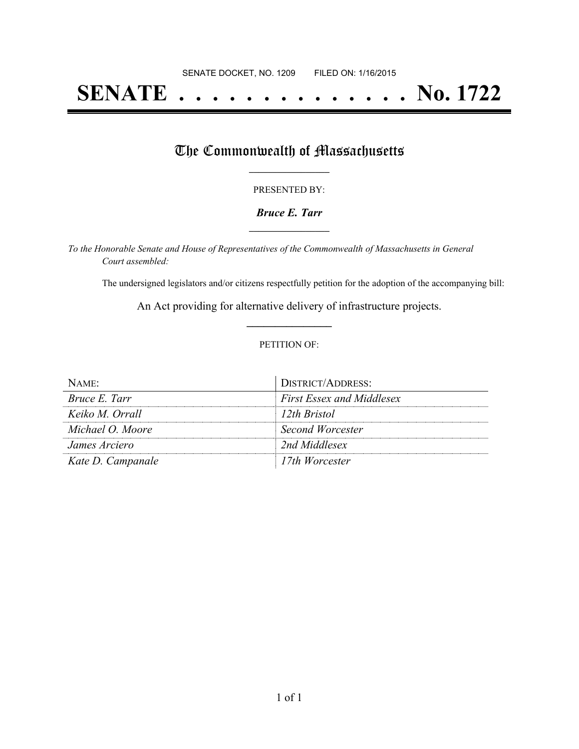# **SENATE . . . . . . . . . . . . . . No. 1722**

# The Commonwealth of Massachusetts

### PRESENTED BY:

### *Bruce E. Tarr* **\_\_\_\_\_\_\_\_\_\_\_\_\_\_\_\_\_**

*To the Honorable Senate and House of Representatives of the Commonwealth of Massachusetts in General Court assembled:*

The undersigned legislators and/or citizens respectfully petition for the adoption of the accompanying bill:

An Act providing for alternative delivery of infrastructure projects. **\_\_\_\_\_\_\_\_\_\_\_\_\_\_\_**

#### PETITION OF:

| $NAME$ :          | DISTRICT/ADDRESS:                |
|-------------------|----------------------------------|
| Bruce E. Tarr     | <b>First Essex and Middlesex</b> |
| Keiko M. Orrall   | 12th Bristol                     |
| Michael O. Moore  | Second Worcester                 |
| James Arciero     | 2nd Middlesex                    |
| Kate D. Campanale | 17th Worcester                   |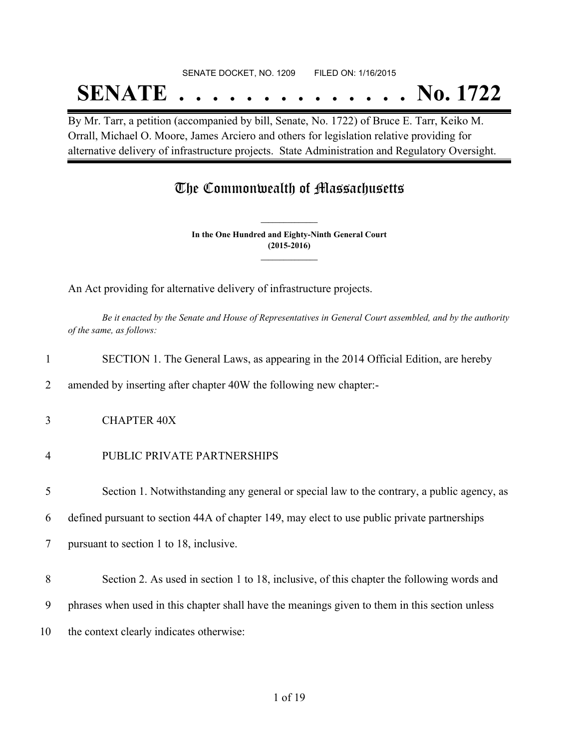SENATE DOCKET, NO. 1209 FILED ON: 1/16/2015

# **SENATE . . . . . . . . . . . . . . No. 1722**

By Mr. Tarr, a petition (accompanied by bill, Senate, No. 1722) of Bruce E. Tarr, Keiko M. Orrall, Michael O. Moore, James Arciero and others for legislation relative providing for alternative delivery of infrastructure projects. State Administration and Regulatory Oversight.

# The Commonwealth of Massachusetts

**In the One Hundred and Eighty-Ninth General Court (2015-2016) \_\_\_\_\_\_\_\_\_\_\_\_\_\_\_**

**\_\_\_\_\_\_\_\_\_\_\_\_\_\_\_**

An Act providing for alternative delivery of infrastructure projects.

Be it enacted by the Senate and House of Representatives in General Court assembled, and by the authority *of the same, as follows:*

2 amended by inserting after chapter 40W the following new chapter:-

- 3 CHAPTER 40X
- 4 PUBLIC PRIVATE PARTNERSHIPS

5 Section 1. Notwithstanding any general or special law to the contrary, a public agency, as

6 defined pursuant to section 44A of chapter 149, may elect to use public private partnerships

7 pursuant to section 1 to 18, inclusive.

8 Section 2. As used in section 1 to 18, inclusive, of this chapter the following words and

9 phrases when used in this chapter shall have the meanings given to them in this section unless

10 the context clearly indicates otherwise: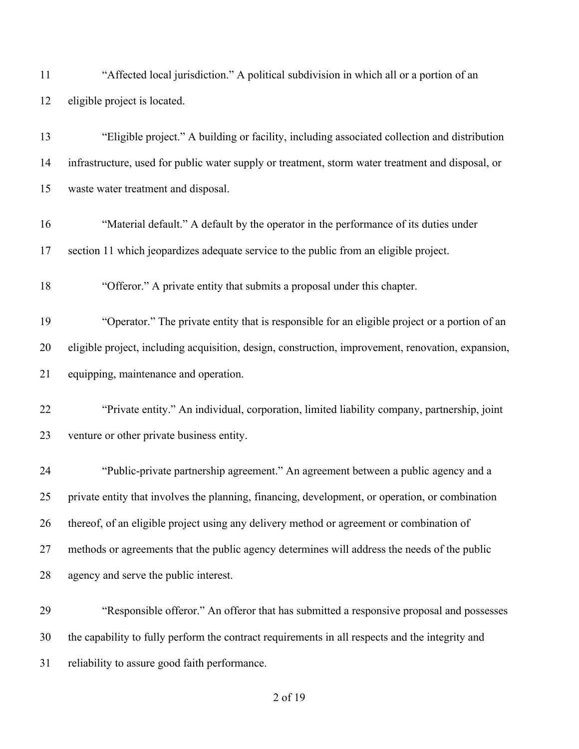| "Eligible project." A building or facility, including associated collection and distribution<br>infrastructure, used for public water supply or treatment, storm water treatment and disposal, or<br>"Material default." A default by the operator in the performance of its duties under<br>section 11 which jeopardizes adequate service to the public from an eligible project.<br>"Operator." The private entity that is responsible for an eligible project or a portion of an |
|-------------------------------------------------------------------------------------------------------------------------------------------------------------------------------------------------------------------------------------------------------------------------------------------------------------------------------------------------------------------------------------------------------------------------------------------------------------------------------------|
|                                                                                                                                                                                                                                                                                                                                                                                                                                                                                     |
|                                                                                                                                                                                                                                                                                                                                                                                                                                                                                     |
|                                                                                                                                                                                                                                                                                                                                                                                                                                                                                     |
|                                                                                                                                                                                                                                                                                                                                                                                                                                                                                     |
|                                                                                                                                                                                                                                                                                                                                                                                                                                                                                     |
|                                                                                                                                                                                                                                                                                                                                                                                                                                                                                     |
|                                                                                                                                                                                                                                                                                                                                                                                                                                                                                     |
|                                                                                                                                                                                                                                                                                                                                                                                                                                                                                     |
| eligible project, including acquisition, design, construction, improvement, renovation, expansion,                                                                                                                                                                                                                                                                                                                                                                                  |
|                                                                                                                                                                                                                                                                                                                                                                                                                                                                                     |
| "Private entity." An individual, corporation, limited liability company, partnership, joint                                                                                                                                                                                                                                                                                                                                                                                         |
|                                                                                                                                                                                                                                                                                                                                                                                                                                                                                     |
| "Public-private partnership agreement." An agreement between a public agency and a                                                                                                                                                                                                                                                                                                                                                                                                  |
| private entity that involves the planning, financing, development, or operation, or combination                                                                                                                                                                                                                                                                                                                                                                                     |
| thereof, of an eligible project using any delivery method or agreement or combination of                                                                                                                                                                                                                                                                                                                                                                                            |
| methods or agreements that the public agency determines will address the needs of the public                                                                                                                                                                                                                                                                                                                                                                                        |
|                                                                                                                                                                                                                                                                                                                                                                                                                                                                                     |
|                                                                                                                                                                                                                                                                                                                                                                                                                                                                                     |
| "Responsible offeror." An offeror that has submitted a responsive proposal and possesses                                                                                                                                                                                                                                                                                                                                                                                            |
|                                                                                                                                                                                                                                                                                                                                                                                                                                                                                     |

reliability to assure good faith performance.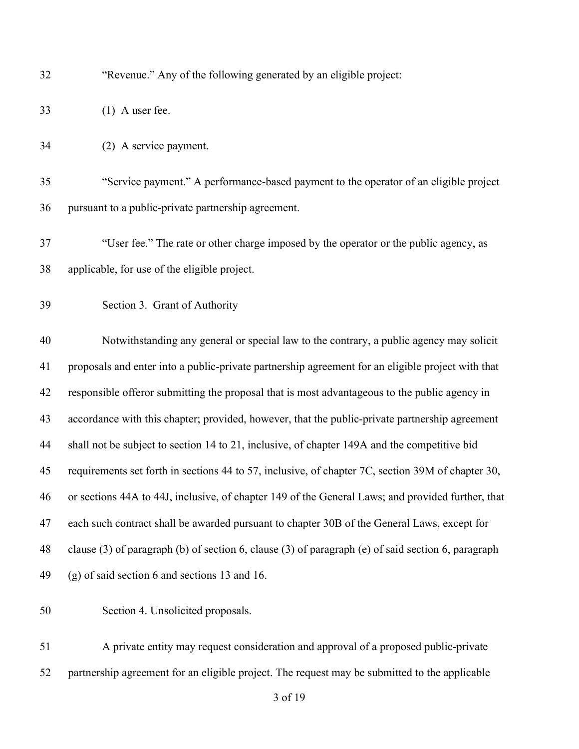| 32 |  |  | "Revenue." Any of the following generated by an eligible project: |  |
|----|--|--|-------------------------------------------------------------------|--|
|    |  |  |                                                                   |  |

(1) A user fee.

(2) A service payment.

 "Service payment." A performance-based payment to the operator of an eligible project pursuant to a public-private partnership agreement.

- "User fee." The rate or other charge imposed by the operator or the public agency, as applicable, for use of the eligible project.
- Section 3. Grant of Authority

 Notwithstanding any general or special law to the contrary, a public agency may solicit proposals and enter into a public-private partnership agreement for an eligible project with that responsible offeror submitting the proposal that is most advantageous to the public agency in accordance with this chapter; provided, however, that the public-private partnership agreement shall not be subject to section 14 to 21, inclusive, of chapter 149A and the competitive bid requirements set forth in sections 44 to 57, inclusive, of chapter 7C, section 39M of chapter 30, or sections 44A to 44J, inclusive, of chapter 149 of the General Laws; and provided further, that each such contract shall be awarded pursuant to chapter 30B of the General Laws, except for clause (3) of paragraph (b) of section 6, clause (3) of paragraph (e) of said section 6, paragraph (g) of said section 6 and sections 13 and 16.

Section 4. Unsolicited proposals.

 A private entity may request consideration and approval of a proposed public-private partnership agreement for an eligible project. The request may be submitted to the applicable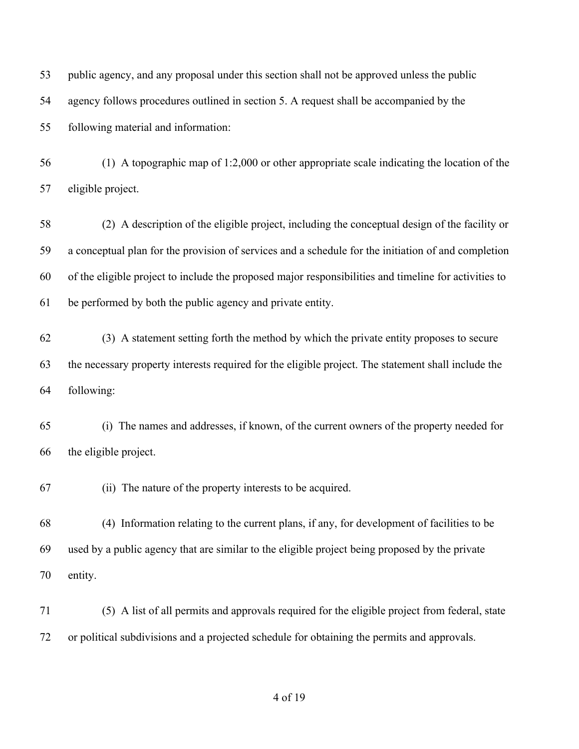| 53 | public agency, and any proposal under this section shall not be approved unless the public            |
|----|-------------------------------------------------------------------------------------------------------|
| 54 | agency follows procedures outlined in section 5. A request shall be accompanied by the                |
| 55 | following material and information:                                                                   |
| 56 | $(1)$ A topographic map of 1:2,000 or other appropriate scale indicating the location of the          |
| 57 | eligible project.                                                                                     |
| 58 | (2) A description of the eligible project, including the conceptual design of the facility or         |
| 59 | a conceptual plan for the provision of services and a schedule for the initiation of and completion   |
| 60 | of the eligible project to include the proposed major responsibilities and timeline for activities to |
| 61 | be performed by both the public agency and private entity.                                            |
| 62 | (3) A statement setting forth the method by which the private entity proposes to secure               |
| 63 | the necessary property interests required for the eligible project. The statement shall include the   |
| 64 | following:                                                                                            |
| 65 | (i) The names and addresses, if known, of the current owners of the property needed for               |
| 66 | the eligible project.                                                                                 |
| 67 | (ii) The nature of the property interests to be acquired.                                             |
| 68 | (4) Information relating to the current plans, if any, for development of facilities to be            |
| 69 | used by a public agency that are similar to the eligible project being proposed by the private        |
| 70 | entity.                                                                                               |
| 71 | (5) A list of all permits and approvals required for the eligible project from federal, state         |
| 72 | or political subdivisions and a projected schedule for obtaining the permits and approvals.           |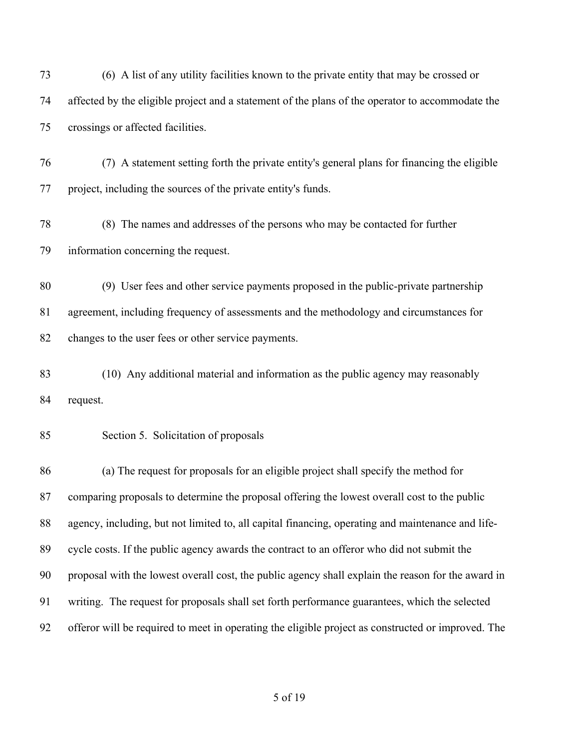(6) A list of any utility facilities known to the private entity that may be crossed or affected by the eligible project and a statement of the plans of the operator to accommodate the crossings or affected facilities.

 (7) A statement setting forth the private entity's general plans for financing the eligible project, including the sources of the private entity's funds.

 (8) The names and addresses of the persons who may be contacted for further information concerning the request.

 (9) User fees and other service payments proposed in the public-private partnership agreement, including frequency of assessments and the methodology and circumstances for changes to the user fees or other service payments.

 (10) Any additional material and information as the public agency may reasonably request.

### Section 5. Solicitation of proposals

 (a) The request for proposals for an eligible project shall specify the method for comparing proposals to determine the proposal offering the lowest overall cost to the public agency, including, but not limited to, all capital financing, operating and maintenance and life- cycle costs. If the public agency awards the contract to an offeror who did not submit the proposal with the lowest overall cost, the public agency shall explain the reason for the award in writing. The request for proposals shall set forth performance guarantees, which the selected offeror will be required to meet in operating the eligible project as constructed or improved. The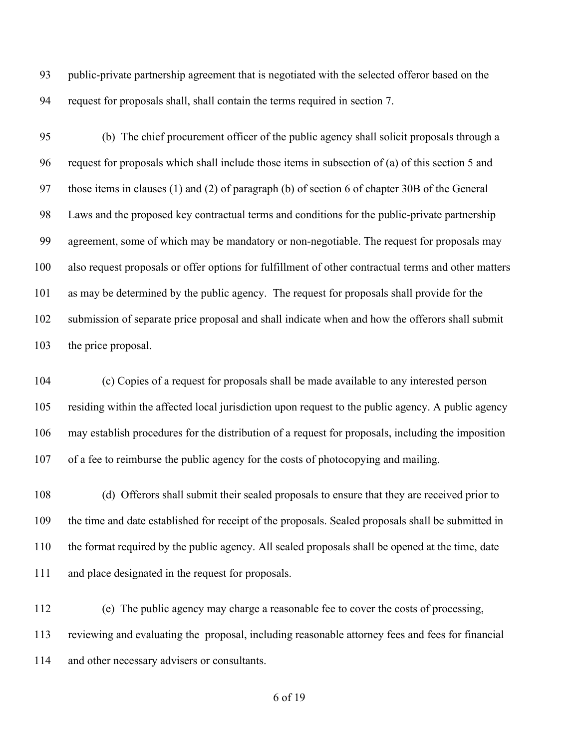public-private partnership agreement that is negotiated with the selected offeror based on the request for proposals shall, shall contain the terms required in section 7.

 (b) The chief procurement officer of the public agency shall solicit proposals through a request for proposals which shall include those items in subsection of (a) of this section 5 and those items in clauses (1) and (2) of paragraph (b) of section 6 of chapter 30B of the General Laws and the proposed key contractual terms and conditions for the public-private partnership agreement, some of which may be mandatory or non-negotiable. The request for proposals may also request proposals or offer options for fulfillment of other contractual terms and other matters as may be determined by the public agency. The request for proposals shall provide for the submission of separate price proposal and shall indicate when and how the offerors shall submit the price proposal.

 (c) Copies of a request for proposals shall be made available to any interested person residing within the affected local jurisdiction upon request to the public agency. A public agency may establish procedures for the distribution of a request for proposals, including the imposition of a fee to reimburse the public agency for the costs of photocopying and mailing.

 (d) Offerors shall submit their sealed proposals to ensure that they are received prior to the time and date established for receipt of the proposals. Sealed proposals shall be submitted in the format required by the public agency. All sealed proposals shall be opened at the time, date and place designated in the request for proposals.

 (e) The public agency may charge a reasonable fee to cover the costs of processing, reviewing and evaluating the proposal, including reasonable attorney fees and fees for financial and other necessary advisers or consultants.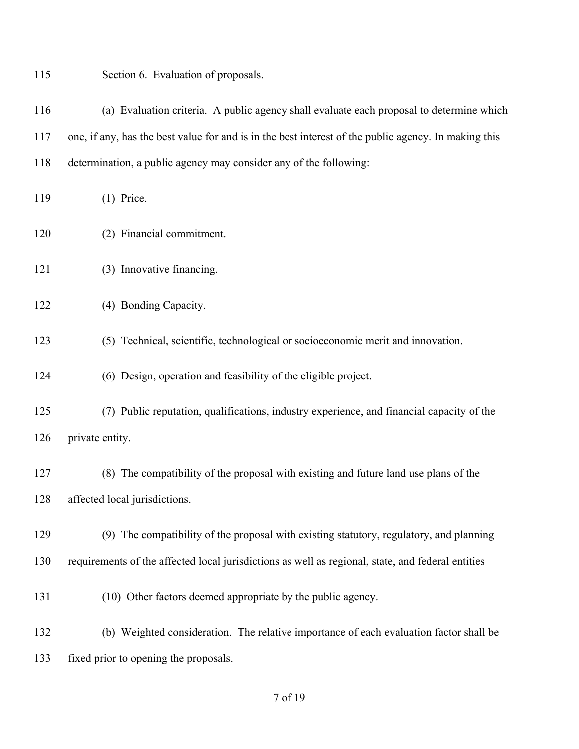| 115 | Section 6. Evaluation of proposals.                                                                  |
|-----|------------------------------------------------------------------------------------------------------|
| 116 | (a) Evaluation criteria. A public agency shall evaluate each proposal to determine which             |
| 117 | one, if any, has the best value for and is in the best interest of the public agency. In making this |
| 118 | determination, a public agency may consider any of the following:                                    |
| 119 | $(1)$ Price.                                                                                         |
| 120 | (2) Financial commitment.                                                                            |
| 121 | (3) Innovative financing.                                                                            |
| 122 | (4) Bonding Capacity.                                                                                |
| 123 | (5) Technical, scientific, technological or socioeconomic merit and innovation.                      |
| 124 | (6) Design, operation and feasibility of the eligible project.                                       |
| 125 | (7) Public reputation, qualifications, industry experience, and financial capacity of the            |
| 126 | private entity.                                                                                      |
| 127 | (8) The compatibility of the proposal with existing and future land use plans of the                 |
| 128 | affected local jurisdictions.                                                                        |
| 129 | (9) The compatibility of the proposal with existing statutory, regulatory, and planning              |
| 130 | requirements of the affected local jurisdictions as well as regional, state, and federal entities    |
| 131 | (10) Other factors deemed appropriate by the public agency.                                          |
| 132 | (b) Weighted consideration. The relative importance of each evaluation factor shall be               |
| 133 | fixed prior to opening the proposals.                                                                |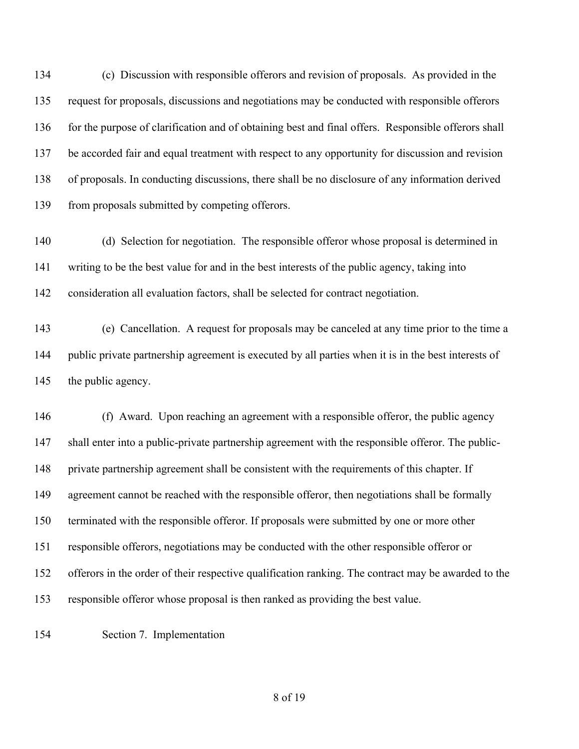(c) Discussion with responsible offerors and revision of proposals. As provided in the request for proposals, discussions and negotiations may be conducted with responsible offerors for the purpose of clarification and of obtaining best and final offers. Responsible offerors shall be accorded fair and equal treatment with respect to any opportunity for discussion and revision of proposals. In conducting discussions, there shall be no disclosure of any information derived 139 from proposals submitted by competing offerors.

 (d) Selection for negotiation. The responsible offeror whose proposal is determined in writing to be the best value for and in the best interests of the public agency, taking into consideration all evaluation factors, shall be selected for contract negotiation.

 (e) Cancellation. A request for proposals may be canceled at any time prior to the time a public private partnership agreement is executed by all parties when it is in the best interests of the public agency.

 (f) Award. Upon reaching an agreement with a responsible offeror, the public agency shall enter into a public-private partnership agreement with the responsible offeror. The public- private partnership agreement shall be consistent with the requirements of this chapter. If agreement cannot be reached with the responsible offeror, then negotiations shall be formally terminated with the responsible offeror. If proposals were submitted by one or more other responsible offerors, negotiations may be conducted with the other responsible offeror or offerors in the order of their respective qualification ranking. The contract may be awarded to the responsible offeror whose proposal is then ranked as providing the best value.

Section 7. Implementation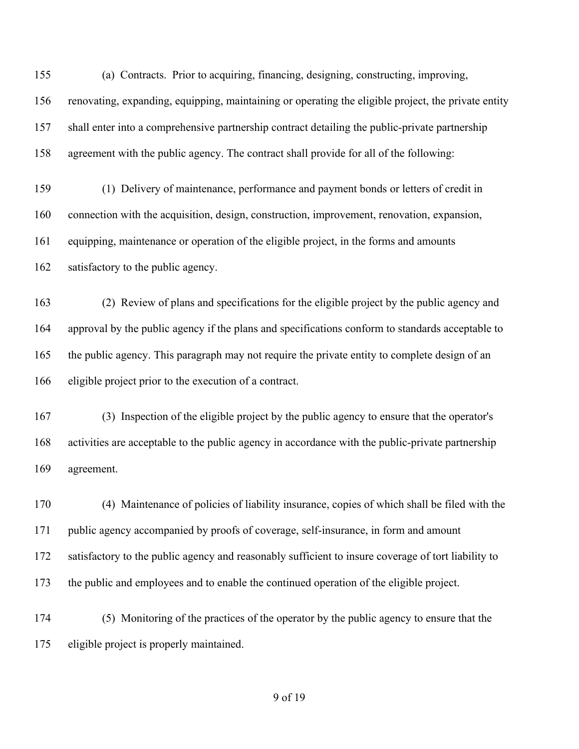(a) Contracts. Prior to acquiring, financing, designing, constructing, improving, renovating, expanding, equipping, maintaining or operating the eligible project, the private entity shall enter into a comprehensive partnership contract detailing the public-private partnership agreement with the public agency. The contract shall provide for all of the following:

 (1) Delivery of maintenance, performance and payment bonds or letters of credit in connection with the acquisition, design, construction, improvement, renovation, expansion, equipping, maintenance or operation of the eligible project, in the forms and amounts satisfactory to the public agency.

 (2) Review of plans and specifications for the eligible project by the public agency and approval by the public agency if the plans and specifications conform to standards acceptable to the public agency. This paragraph may not require the private entity to complete design of an eligible project prior to the execution of a contract.

 (3) Inspection of the eligible project by the public agency to ensure that the operator's activities are acceptable to the public agency in accordance with the public-private partnership agreement.

 (4) Maintenance of policies of liability insurance, copies of which shall be filed with the public agency accompanied by proofs of coverage, self-insurance, in form and amount 172 satisfactory to the public agency and reasonably sufficient to insure coverage of tort liability to the public and employees and to enable the continued operation of the eligible project.

 (5) Monitoring of the practices of the operator by the public agency to ensure that the eligible project is properly maintained.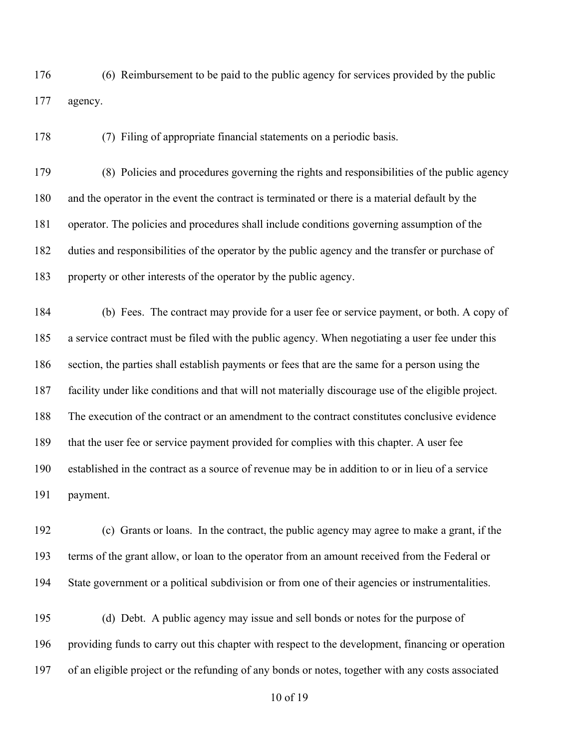(6) Reimbursement to be paid to the public agency for services provided by the public agency.

(7) Filing of appropriate financial statements on a periodic basis.

 (8) Policies and procedures governing the rights and responsibilities of the public agency and the operator in the event the contract is terminated or there is a material default by the operator. The policies and procedures shall include conditions governing assumption of the duties and responsibilities of the operator by the public agency and the transfer or purchase of property or other interests of the operator by the public agency.

 (b) Fees. The contract may provide for a user fee or service payment, or both. A copy of a service contract must be filed with the public agency. When negotiating a user fee under this section, the parties shall establish payments or fees that are the same for a person using the facility under like conditions and that will not materially discourage use of the eligible project. The execution of the contract or an amendment to the contract constitutes conclusive evidence that the user fee or service payment provided for complies with this chapter. A user fee established in the contract as a source of revenue may be in addition to or in lieu of a service payment.

 (c) Grants or loans. In the contract, the public agency may agree to make a grant, if the terms of the grant allow, or loan to the operator from an amount received from the Federal or State government or a political subdivision or from one of their agencies or instrumentalities.

 (d) Debt. A public agency may issue and sell bonds or notes for the purpose of providing funds to carry out this chapter with respect to the development, financing or operation of an eligible project or the refunding of any bonds or notes, together with any costs associated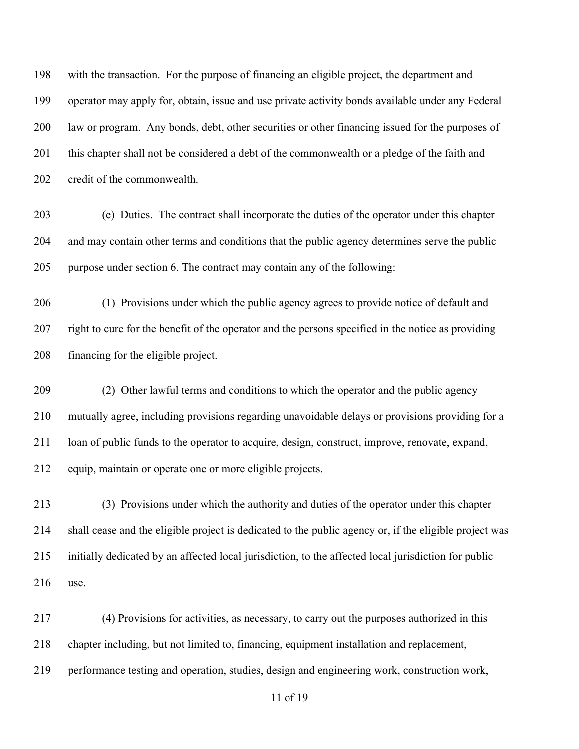with the transaction. For the purpose of financing an eligible project, the department and operator may apply for, obtain, issue and use private activity bonds available under any Federal law or program. Any bonds, debt, other securities or other financing issued for the purposes of this chapter shall not be considered a debt of the commonwealth or a pledge of the faith and credit of the commonwealth.

 (e) Duties. The contract shall incorporate the duties of the operator under this chapter and may contain other terms and conditions that the public agency determines serve the public purpose under section 6. The contract may contain any of the following:

 (1) Provisions under which the public agency agrees to provide notice of default and right to cure for the benefit of the operator and the persons specified in the notice as providing financing for the eligible project.

 (2) Other lawful terms and conditions to which the operator and the public agency mutually agree, including provisions regarding unavoidable delays or provisions providing for a loan of public funds to the operator to acquire, design, construct, improve, renovate, expand, equip, maintain or operate one or more eligible projects.

 (3) Provisions under which the authority and duties of the operator under this chapter shall cease and the eligible project is dedicated to the public agency or, if the eligible project was initially dedicated by an affected local jurisdiction, to the affected local jurisdiction for public use.

 (4) Provisions for activities, as necessary, to carry out the purposes authorized in this chapter including, but not limited to, financing, equipment installation and replacement, performance testing and operation, studies, design and engineering work, construction work,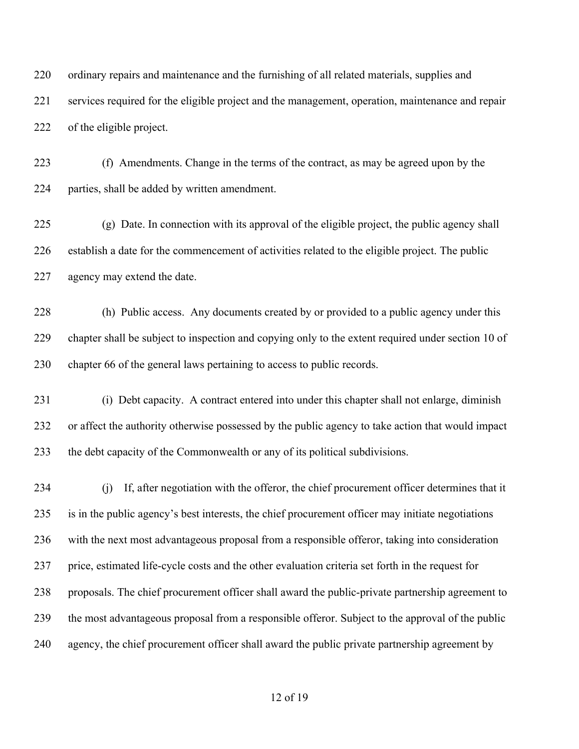ordinary repairs and maintenance and the furnishing of all related materials, supplies and services required for the eligible project and the management, operation, maintenance and repair of the eligible project.

 (f) Amendments. Change in the terms of the contract, as may be agreed upon by the parties, shall be added by written amendment.

 (g) Date. In connection with its approval of the eligible project, the public agency shall establish a date for the commencement of activities related to the eligible project. The public agency may extend the date.

 (h) Public access. Any documents created by or provided to a public agency under this chapter shall be subject to inspection and copying only to the extent required under section 10 of chapter 66 of the general laws pertaining to access to public records.

 (i) Debt capacity. A contract entered into under this chapter shall not enlarge, diminish or affect the authority otherwise possessed by the public agency to take action that would impact the debt capacity of the Commonwealth or any of its political subdivisions.

 (j) If, after negotiation with the offeror, the chief procurement officer determines that it is in the public agency's best interests, the chief procurement officer may initiate negotiations with the next most advantageous proposal from a responsible offeror, taking into consideration price, estimated life-cycle costs and the other evaluation criteria set forth in the request for proposals. The chief procurement officer shall award the public-private partnership agreement to the most advantageous proposal from a responsible offeror. Subject to the approval of the public agency, the chief procurement officer shall award the public private partnership agreement by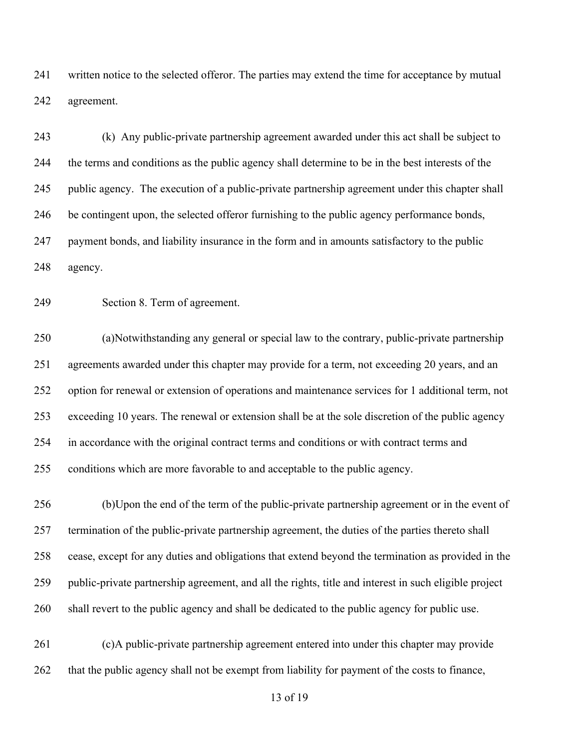written notice to the selected offeror. The parties may extend the time for acceptance by mutual agreement.

 (k) Any public-private partnership agreement awarded under this act shall be subject to the terms and conditions as the public agency shall determine to be in the best interests of the public agency. The execution of a public-private partnership agreement under this chapter shall be contingent upon, the selected offeror furnishing to the public agency performance bonds, payment bonds, and liability insurance in the form and in amounts satisfactory to the public agency.

Section 8. Term of agreement.

 (a)Notwithstanding any general or special law to the contrary, public-private partnership agreements awarded under this chapter may provide for a term, not exceeding 20 years, and an option for renewal or extension of operations and maintenance services for 1 additional term, not exceeding 10 years. The renewal or extension shall be at the sole discretion of the public agency in accordance with the original contract terms and conditions or with contract terms and conditions which are more favorable to and acceptable to the public agency.

 (b)Upon the end of the term of the public-private partnership agreement or in the event of termination of the public-private partnership agreement, the duties of the parties thereto shall cease, except for any duties and obligations that extend beyond the termination as provided in the public-private partnership agreement, and all the rights, title and interest in such eligible project shall revert to the public agency and shall be dedicated to the public agency for public use.

 (c)A public-private partnership agreement entered into under this chapter may provide that the public agency shall not be exempt from liability for payment of the costs to finance,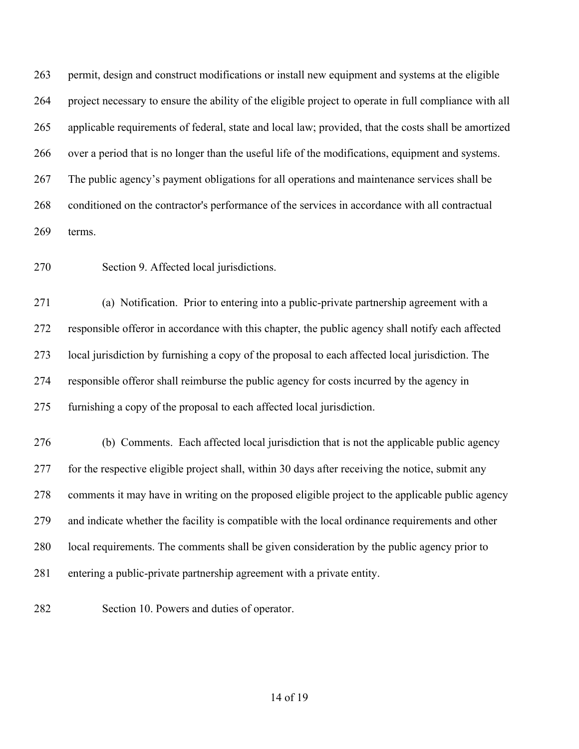permit, design and construct modifications or install new equipment and systems at the eligible project necessary to ensure the ability of the eligible project to operate in full compliance with all applicable requirements of federal, state and local law; provided, that the costs shall be amortized over a period that is no longer than the useful life of the modifications, equipment and systems. The public agency's payment obligations for all operations and maintenance services shall be conditioned on the contractor's performance of the services in accordance with all contractual terms.

Section 9. Affected local jurisdictions.

 (a) Notification. Prior to entering into a public-private partnership agreement with a responsible offeror in accordance with this chapter, the public agency shall notify each affected local jurisdiction by furnishing a copy of the proposal to each affected local jurisdiction. The responsible offeror shall reimburse the public agency for costs incurred by the agency in furnishing a copy of the proposal to each affected local jurisdiction.

 (b) Comments. Each affected local jurisdiction that is not the applicable public agency for the respective eligible project shall, within 30 days after receiving the notice, submit any comments it may have in writing on the proposed eligible project to the applicable public agency and indicate whether the facility is compatible with the local ordinance requirements and other local requirements. The comments shall be given consideration by the public agency prior to entering a public-private partnership agreement with a private entity.

Section 10. Powers and duties of operator.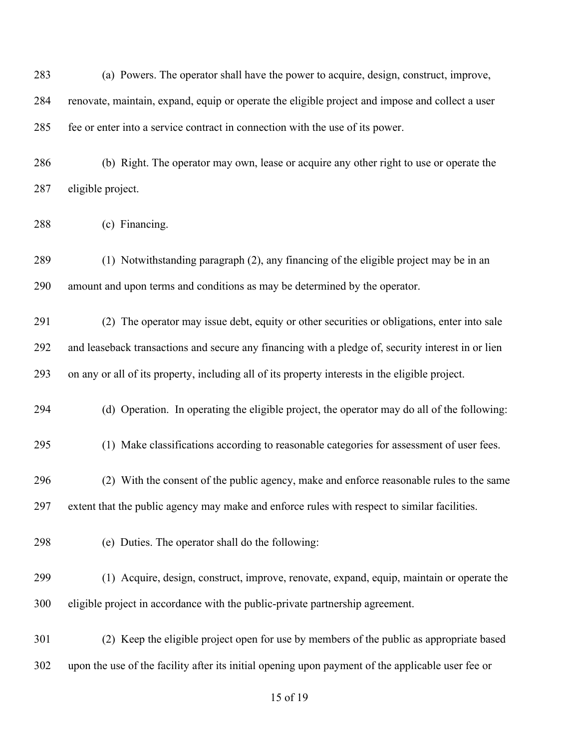| 283 | (a) Powers. The operator shall have the power to acquire, design, construct, improve,              |
|-----|----------------------------------------------------------------------------------------------------|
| 284 | renovate, maintain, expand, equip or operate the eligible project and impose and collect a user    |
| 285 | fee or enter into a service contract in connection with the use of its power.                      |
| 286 | (b) Right. The operator may own, lease or acquire any other right to use or operate the            |
| 287 | eligible project.                                                                                  |
| 288 | (c) Financing.                                                                                     |
| 289 | (1) Notwithstanding paragraph (2), any financing of the eligible project may be in an              |
| 290 | amount and upon terms and conditions as may be determined by the operator.                         |
| 291 | (2) The operator may issue debt, equity or other securities or obligations, enter into sale        |
| 292 | and leaseback transactions and secure any financing with a pledge of, security interest in or lien |
| 293 | on any or all of its property, including all of its property interests in the eligible project.    |
| 294 | (d) Operation. In operating the eligible project, the operator may do all of the following:        |
| 295 | (1) Make classifications according to reasonable categories for assessment of user fees.           |
| 296 | (2) With the consent of the public agency, make and enforce reasonable rules to the same           |
| 297 | extent that the public agency may make and enforce rules with respect to similar facilities.       |
| 298 | (e) Duties. The operator shall do the following:                                                   |
| 299 | (1) Acquire, design, construct, improve, renovate, expand, equip, maintain or operate the          |
| 300 | eligible project in accordance with the public-private partnership agreement.                      |
| 301 | (2) Keep the eligible project open for use by members of the public as appropriate based           |
| 302 | upon the use of the facility after its initial opening upon payment of the applicable user fee or  |
|     |                                                                                                    |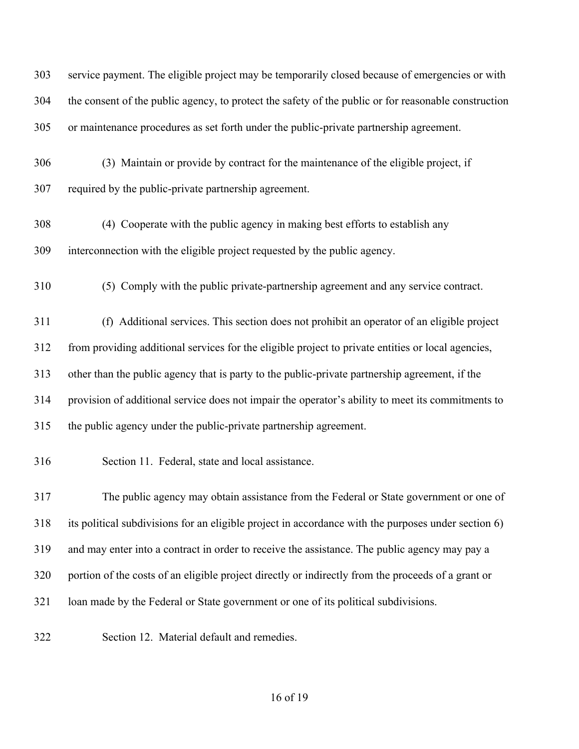| 303 | service payment. The eligible project may be temporarily closed because of emergencies or with       |
|-----|------------------------------------------------------------------------------------------------------|
| 304 | the consent of the public agency, to protect the safety of the public or for reasonable construction |
| 305 | or maintenance procedures as set forth under the public-private partnership agreement.               |
| 306 | (3) Maintain or provide by contract for the maintenance of the eligible project, if                  |
| 307 | required by the public-private partnership agreement.                                                |
| 308 | (4) Cooperate with the public agency in making best efforts to establish any                         |
| 309 | interconnection with the eligible project requested by the public agency.                            |
| 310 | (5) Comply with the public private-partnership agreement and any service contract.                   |
| 311 | (f) Additional services. This section does not prohibit an operator of an eligible project           |
| 312 | from providing additional services for the eligible project to private entities or local agencies,   |
| 313 | other than the public agency that is party to the public-private partnership agreement, if the       |
| 314 | provision of additional service does not impair the operator's ability to meet its commitments to    |
| 315 | the public agency under the public-private partnership agreement.                                    |
| 316 | Section 11. Federal, state and local assistance.                                                     |
| 317 | The public agency may obtain assistance from the Federal or State government or one of               |
| 318 | its political subdivisions for an eligible project in accordance with the purposes under section 6)  |
| 319 | and may enter into a contract in order to receive the assistance. The public agency may pay a        |
| 320 | portion of the costs of an eligible project directly or indirectly from the proceeds of a grant or   |
| 321 | loan made by the Federal or State government or one of its political subdivisions.                   |
| 322 | Section 12. Material default and remedies.                                                           |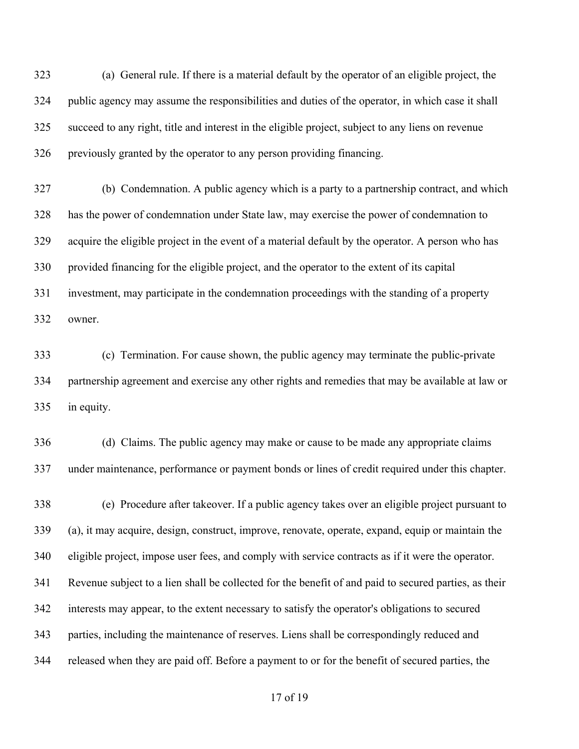(a) General rule. If there is a material default by the operator of an eligible project, the public agency may assume the responsibilities and duties of the operator, in which case it shall succeed to any right, title and interest in the eligible project, subject to any liens on revenue previously granted by the operator to any person providing financing.

 (b) Condemnation. A public agency which is a party to a partnership contract, and which has the power of condemnation under State law, may exercise the power of condemnation to acquire the eligible project in the event of a material default by the operator. A person who has provided financing for the eligible project, and the operator to the extent of its capital investment, may participate in the condemnation proceedings with the standing of a property owner.

 (c) Termination. For cause shown, the public agency may terminate the public-private partnership agreement and exercise any other rights and remedies that may be available at law or in equity.

 (d) Claims. The public agency may make or cause to be made any appropriate claims under maintenance, performance or payment bonds or lines of credit required under this chapter.

 (e) Procedure after takeover. If a public agency takes over an eligible project pursuant to (a), it may acquire, design, construct, improve, renovate, operate, expand, equip or maintain the eligible project, impose user fees, and comply with service contracts as if it were the operator. Revenue subject to a lien shall be collected for the benefit of and paid to secured parties, as their interests may appear, to the extent necessary to satisfy the operator's obligations to secured parties, including the maintenance of reserves. Liens shall be correspondingly reduced and released when they are paid off. Before a payment to or for the benefit of secured parties, the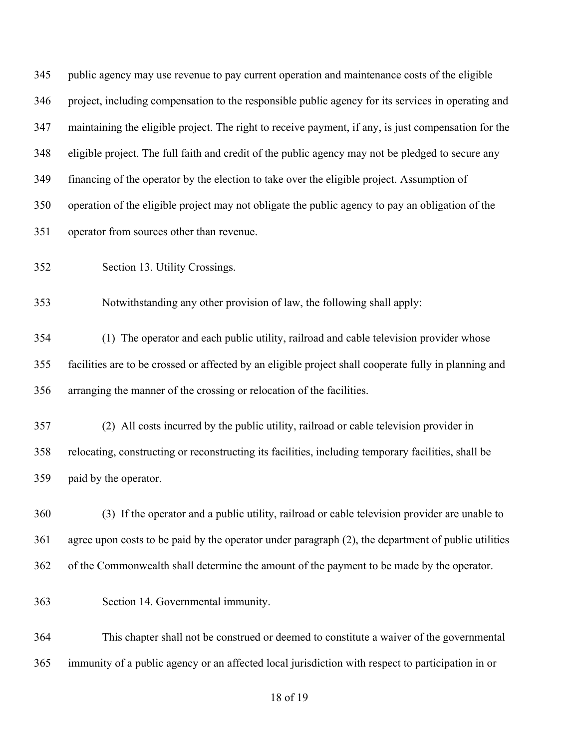| 345 | public agency may use revenue to pay current operation and maintenance costs of the eligible           |
|-----|--------------------------------------------------------------------------------------------------------|
| 346 | project, including compensation to the responsible public agency for its services in operating and     |
| 347 | maintaining the eligible project. The right to receive payment, if any, is just compensation for the   |
| 348 | eligible project. The full faith and credit of the public agency may not be pledged to secure any      |
| 349 | financing of the operator by the election to take over the eligible project. Assumption of             |
| 350 | operation of the eligible project may not obligate the public agency to pay an obligation of the       |
| 351 | operator from sources other than revenue.                                                              |
| 352 | Section 13. Utility Crossings.                                                                         |
| 353 | Notwithstanding any other provision of law, the following shall apply:                                 |
| 354 | (1) The operator and each public utility, railroad and cable television provider whose                 |
| 355 | facilities are to be crossed or affected by an eligible project shall cooperate fully in planning and  |
| 356 | arranging the manner of the crossing or relocation of the facilities.                                  |
| 357 | (2) All costs incurred by the public utility, railroad or cable television provider in                 |
| 358 | relocating, constructing or reconstructing its facilities, including temporary facilities, shall be    |
| 359 | paid by the operator.                                                                                  |
| 360 | (3) If the operator and a public utility, railroad or cable television provider are unable to          |
| 361 | agree upon costs to be paid by the operator under paragraph $(2)$ , the department of public utilities |
| 362 | of the Commonwealth shall determine the amount of the payment to be made by the operator.              |
| 363 | Section 14. Governmental immunity.                                                                     |
| 364 | This chapter shall not be construed or deemed to constitute a waiver of the governmental               |
| 365 | immunity of a public agency or an affected local jurisdiction with respect to participation in or      |